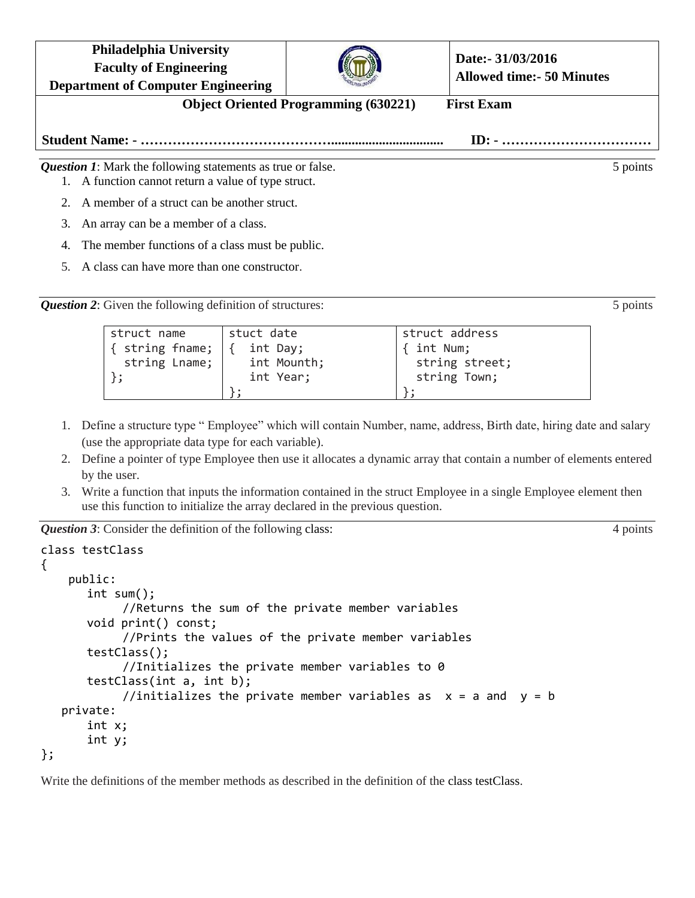**Philadelphia University Faculty of Engineering**



**Date:- 31/03/2016 Allowed time:- 50 Minutes**

**Department of Computer Engineering Object Oriented Programming (630221) First Exam Student Name: - ……………………………………................................. ID: - ……………………………** *Question 1*: Mark the following statements as true or false. 5 points 5 points 1. A function cannot return a value of type struct.

- 2. A member of a struct can be another struct.
- 3. An array can be a member of a class.
- 4. The member functions of a class must be public.
- 5. A class can have more than one constructor.

*Question 2*: Given the following definition of structures: 5 points 5 points

| struct name     | stuct date  | struct address |
|-----------------|-------------|----------------|
| { string fname; | int Day;    | { int Num;     |
| string Lname;   | int Mounth; | string street; |
|                 | int Year;   | string Town;   |
|                 |             |                |

- 1. Define a structure type " Employee" which will contain Number, name, address, Birth date, hiring date and salary (use the appropriate data type for each variable).
- 2. Define a pointer of type Employee then use it allocates a dynamic array that contain a number of elements entered by the user.
- 3. Write a function that inputs the information contained in the struct Employee in a single Employee element then use this function to initialize the array declared in the previous question.

*Question 3*: Consider the definition of the following class: 4 points 4 points

```
class testClass
{
    public:
      int sum();
            //Returns the sum of the private member variables
      void print() const;
            //Prints the values of the private member variables
      testClass();
            //Initializes the private member variables to 0
      testClass(int a, int b);
            //initializes the private member variables as x = a and y = b private:
      int x;
      int y;
```
};

Write the definitions of the member methods as described in the definition of the class testClass.